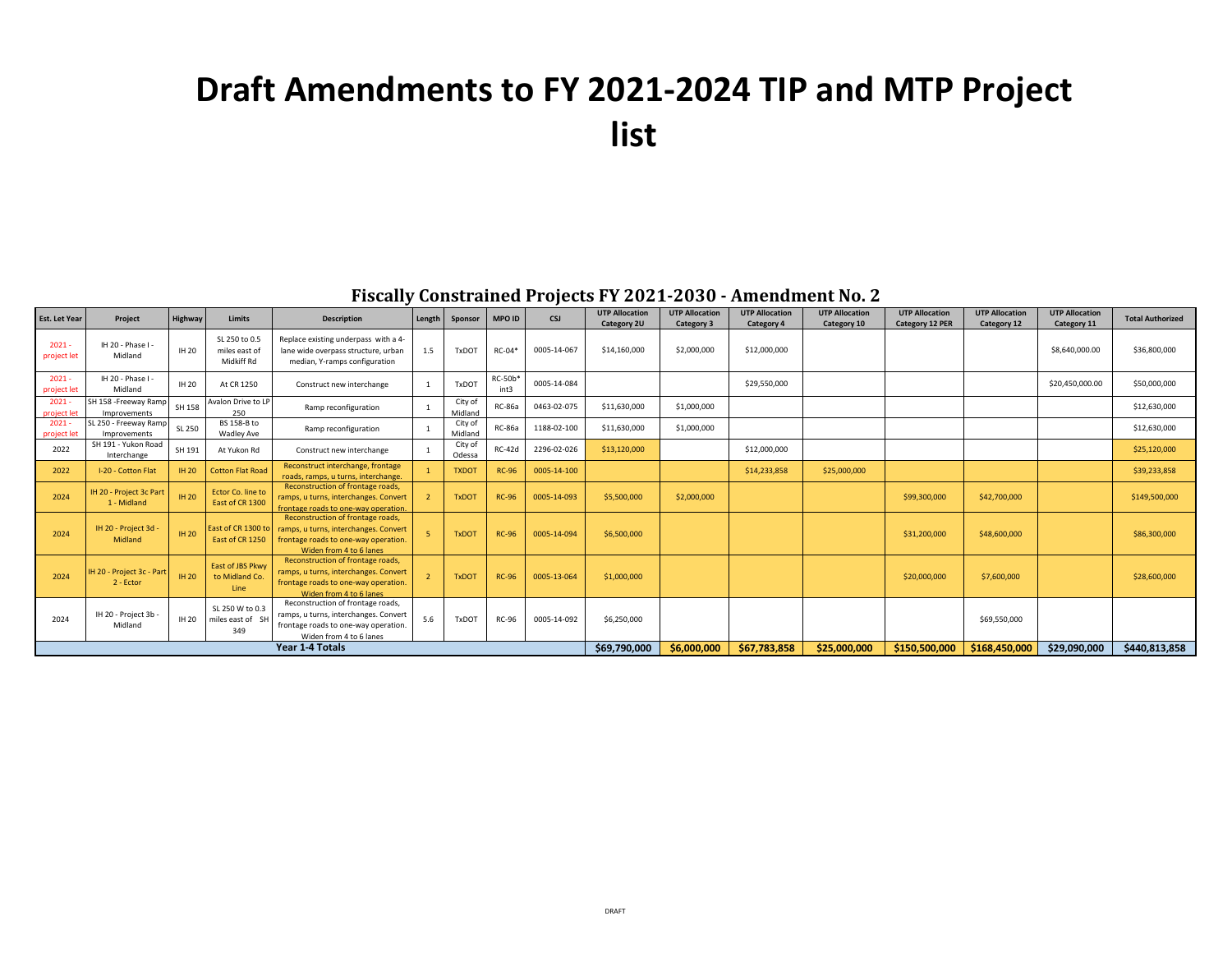## **Draft Amendments to FY 2021-2024 TIP and MTP Project list**

## **Fiscally Constrained Projects FY 2021-2030 - Amendment No. 2**

| <b>Est. Let Year</b>    | Project                                | Highway      | <b>Limits</b>                                | <b>Description</b>                                                                                                                            | Length | Sponsor            | <b>MPO ID</b>          | <b>CSJ</b>  | <b>UTP Allocation</b><br>Category 2U | <b>UTP Allocation</b><br><b>Category 3</b> | <b>UTP Allocation</b><br>Category 4 | <b>UTP Allocation</b><br>Category 10 | <b>UTP Allocation</b><br><b>Category 12 PER</b> | <b>UTP Allocation</b><br>Category 12 | <b>UTP Allocation</b><br>Category 11 | <b>Total Authorized</b> |
|-------------------------|----------------------------------------|--------------|----------------------------------------------|-----------------------------------------------------------------------------------------------------------------------------------------------|--------|--------------------|------------------------|-------------|--------------------------------------|--------------------------------------------|-------------------------------------|--------------------------------------|-------------------------------------------------|--------------------------------------|--------------------------------------|-------------------------|
| 2021<br>project let     | IH 20 - Phase I -<br>Midland           | IH 20        | SL 250 to 0.5<br>miles east of<br>Midkiff Rd | Replace existing underpass with a 4-<br>lane wide overpass structure, urban<br>median, Y-ramps configuration                                  | 1.5    | <b>TxDOT</b>       | RC-04*                 | 0005-14-067 | \$14,160,000                         | \$2,000,000                                | \$12,000,000                        |                                      |                                                 |                                      | \$8,640,000.00                       | \$36,800,000            |
| $2021 -$<br>project let | IH 20 - Phase I -<br>Midland           | IH 20        | At CR 1250                                   | Construct new interchange                                                                                                                     |        | <b>TxDOT</b>       | <b>RC-50b*</b><br>int3 | 0005-14-084 |                                      |                                            | \$29,550,000                        |                                      |                                                 |                                      | \$20,450,000.00                      | \$50,000,000            |
| $2021 -$<br>project let | SH 158 - Freeway Ramp<br>Improvements  | SH 158       | Avalon Drive to LP<br>250                    | Ramp reconfiguration                                                                                                                          |        | City of<br>Midland | <b>RC-86a</b>          | 0463-02-075 | \$11,630,000                         | \$1,000,000                                |                                     |                                      |                                                 |                                      |                                      | \$12,630,000            |
| $2021 -$<br>project let | SL 250 - Freeway Ramp<br>Improvements  | SL 250       | BS 158-B to<br>Wadley Ave                    | Ramp reconfiguration                                                                                                                          |        | City of<br>Midland | <b>RC-86a</b>          | 1188-02-100 | \$11,630,000                         | \$1,000,000                                |                                     |                                      |                                                 |                                      |                                      | \$12,630,000            |
| 2022                    | SH 191 - Yukon Road<br>Interchange     | SH 191       | At Yukon Rd                                  | Construct new interchange                                                                                                                     |        | City of<br>Odessa  | <b>RC-42d</b>          | 2296-02-026 | \$13,120,000                         |                                            | \$12,000,000                        |                                      |                                                 |                                      |                                      | \$25,120,000            |
| 2022                    | I-20 - Cotton Flat                     | <b>IH 20</b> | <b>Cotton Flat Road</b>                      | Reconstruct interchange, frontage<br>roads, ramps, u turns, interchange.                                                                      |        | <b>TXDOT</b>       | <b>RC-96</b>           | 0005-14-100 |                                      |                                            | \$14,233,858                        | \$25,000,000                         |                                                 |                                      |                                      | \$39,233,858            |
| 2024                    | IH 20 - Project 3c Part<br>1 - Midland | <b>IH 20</b> | Ector Co. line to<br>East of CR 1300         | Reconstruction of frontage roads,<br>ramps, u turns, interchanges. Convert<br>frontage roads to one-way operation.                            |        | <b>TxDOT</b>       | <b>RC-96</b>           | 0005-14-093 | \$5,500,000                          | \$2,000,000                                |                                     |                                      | \$99,300,000                                    | \$42,700,000                         |                                      | \$149,500,000           |
| 2024                    | IH 20 - Project 3d<br>Midland          | <b>IH 20</b> | East of CR 1300 to<br>East of CR 1250        | Reconstruction of frontage roads,<br>ramps, u turns, interchanges. Convert<br>frontage roads to one-way operation.<br>Widen from 4 to 6 lanes |        | <b>TxDOT</b>       | <b>RC-96</b>           | 0005-14-094 | \$6,500,000                          |                                            |                                     |                                      | \$31,200,000                                    | \$48,600,000                         |                                      | \$86,300,000            |
| 2024                    | IH 20 - Project 3c - Part<br>2 - Ector | <b>IH 20</b> | East of JBS Pkwy<br>to Midland Co.<br>Line   | Reconstruction of frontage roads,<br>ramps, u turns, interchanges. Convert<br>frontage roads to one-way operation.<br>Widen from 4 to 6 lanes |        | <b>TxDOT</b>       | <b>RC-96</b>           | 0005-13-064 | \$1,000,000                          |                                            |                                     |                                      | \$20,000,000                                    | \$7,600,000                          |                                      | \$28,600,000            |
| 2024                    | IH 20 - Project 3b<br>Midland          | IH 20        | SL 250 W to 0.3<br>miles east of SH<br>349   | Reconstruction of frontage roads,<br>ramps, u turns, interchanges. Convert<br>frontage roads to one-way operation.<br>Widen from 4 to 6 lanes | 5.6    | <b>TxDOT</b>       | <b>RC-96</b>           | 0005-14-092 | \$6,250,000                          |                                            |                                     |                                      |                                                 | \$69,550,000                         |                                      |                         |
| Year 1-4 Totals         |                                        |              |                                              |                                                                                                                                               |        |                    |                        |             | \$69,790,000                         | \$6,000,000                                | \$67,783,858                        | \$25,000,000                         | \$150,500,000                                   | \$168,450,000                        | \$29,090,000                         | \$440,813,858           |